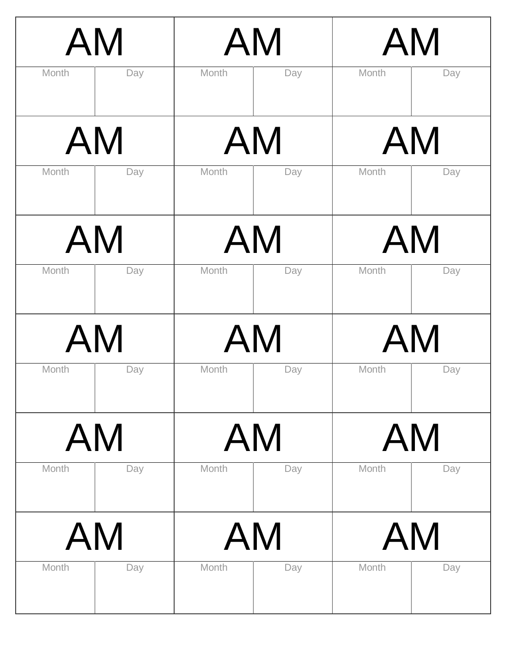| Month | <b>AM</b><br>Day |       | AM<br>Month<br>Day |       | AM<br>Month<br>Day |  |
|-------|------------------|-------|--------------------|-------|--------------------|--|
|       | <b>AM</b>        |       | AM                 |       | AM                 |  |
| Month | Day              | Month | Day                | Month | Day                |  |
|       | AM               |       | AM                 |       | AM                 |  |
| Month | Day              | Month | Day                | Month | Day                |  |
|       | <b>AM</b>        |       | AM                 |       | AM                 |  |
| Month | Day              | Month | Day                | Month | Day                |  |
|       | AM               |       | AM                 |       | AM                 |  |
| Month | Day              | Month | Day                | Month | Day                |  |
|       | AM               |       | AM                 |       | AM                 |  |
| Month | Day              | Month | Day                | Month | Day                |  |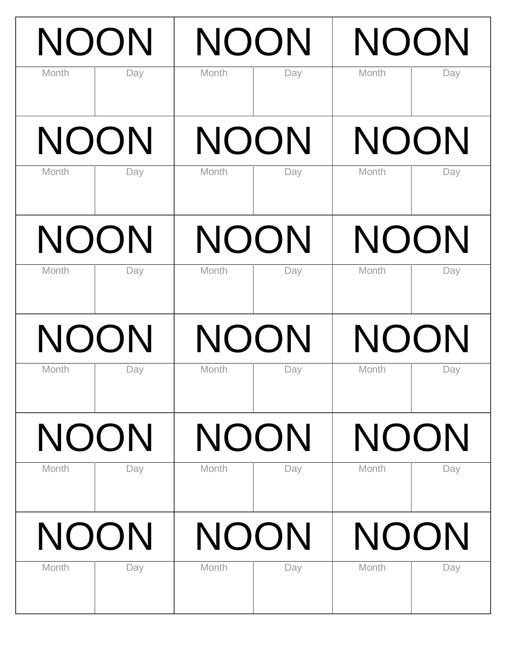| Month       | <b>NOON</b><br>Day |             | <b>NOON</b><br>Month<br>Day |             | <b>NOON</b><br>Month<br>Day |  |
|-------------|--------------------|-------------|-----------------------------|-------------|-----------------------------|--|
| <b>NOON</b> |                    | <b>NOON</b> |                             | <b>NOON</b> |                             |  |
| Month       | Day                | Month       | Day                         | Month       | Day                         |  |
| <b>NOON</b> |                    | <b>NOON</b> |                             | <b>NOON</b> |                             |  |
| Month       | Day                | Month       | Day                         | Month       | Day                         |  |
| <b>NOON</b> |                    | <b>NOON</b> |                             | <b>NOON</b> |                             |  |
| Month       | Day                | Month       | Day                         | Month       | Day                         |  |
| NOON        |                    | <b>NOON</b> |                             | <b>NOON</b> |                             |  |
| Month       | Day                | Month       | Day                         | Month       | Day                         |  |
| <b>NOON</b> |                    | NOON        |                             | NOON        |                             |  |
| Month       | Day                | Month       | Day                         | Month       | Day                         |  |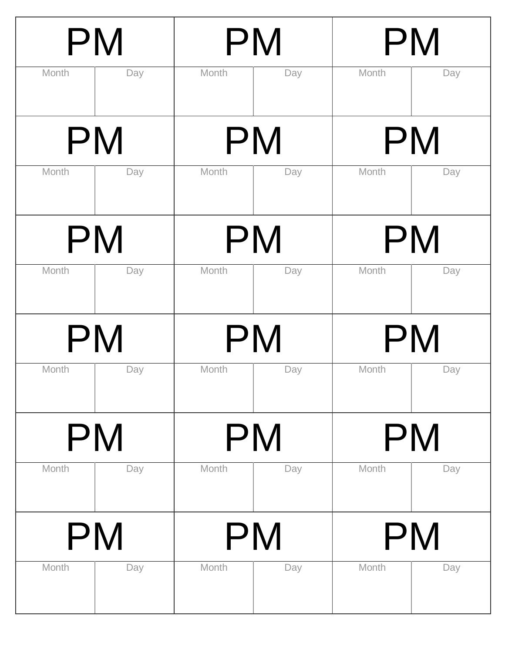| PM    |     | PM    |     | <b>PM</b> |           |  |
|-------|-----|-------|-----|-----------|-----------|--|
| Month | Day | Month | Day | Month     | Day       |  |
|       | PM  |       | PM  |           | <b>PM</b> |  |
| Month | Day | Month | Day | Month     | Day       |  |
| PM    |     | PM    |     | <b>PM</b> |           |  |
| Month | Day | Month | Day | Month     | Day       |  |
|       | PM  |       | PM  |           | PM        |  |
| Month | Day | Month | Day | Month     | Day       |  |
|       | PM  |       | PM  | PM        |           |  |
| Month | Day | Month | Day | Month     | Day       |  |
|       | PM  |       | PM  |           | PM        |  |
| Month | Day | Month | Day | Month     | Day       |  |